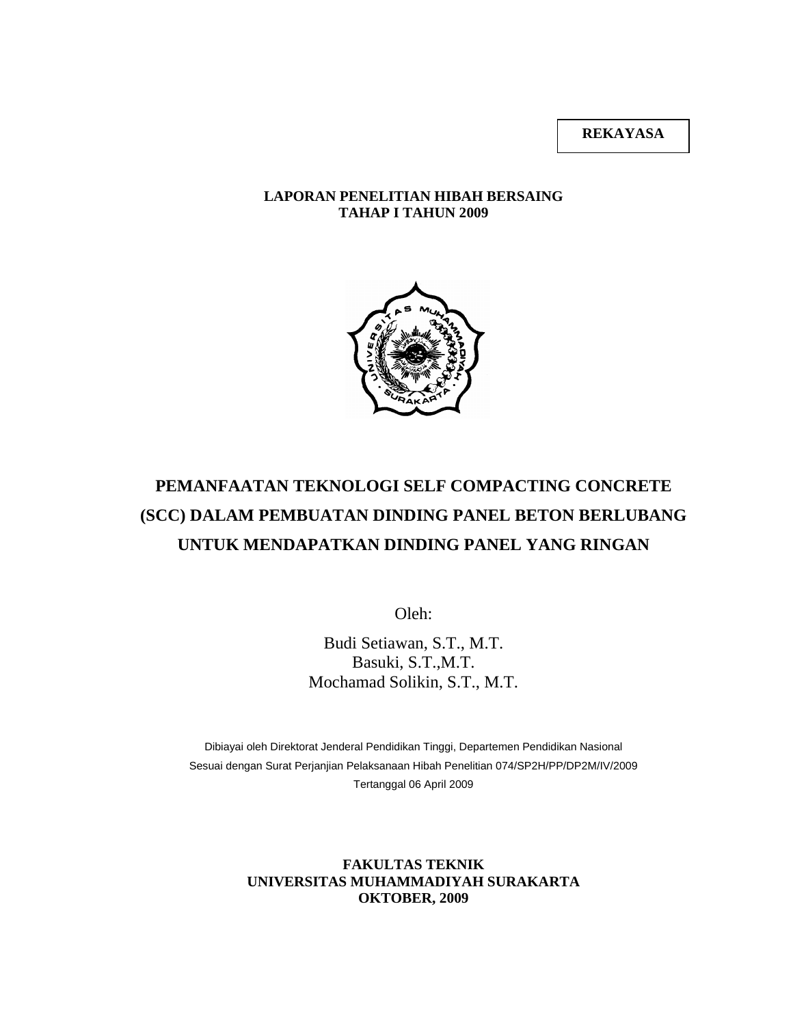**REKAYASA** 

#### **LAPORAN PENELITIAN HIBAH BERSAING TAHAP I TAHUN 2009**



# **PEMANFAATAN TEKNOLOGI SELF COMPACTING CONCRETE (SCC) DALAM PEMBUATAN DINDING PANEL BETON BERLUBANG UNTUK MENDAPATKAN DINDING PANEL YANG RINGAN**

Oleh:

Budi Setiawan, S.T., M.T. Basuki, S.T.,M.T. Mochamad Solikin, S.T., M.T.

Dibiayai oleh Direktorat Jenderal Pendidikan Tinggi, Departemen Pendidikan Nasional Sesuai dengan Surat Perjanjian Pelaksanaan Hibah Penelitian 074/SP2H/PP/DP2M/IV/2009 Tertanggal 06 April 2009

> **FAKULTAS TEKNIK UNIVERSITAS MUHAMMADIYAH SURAKARTA OKTOBER, 2009**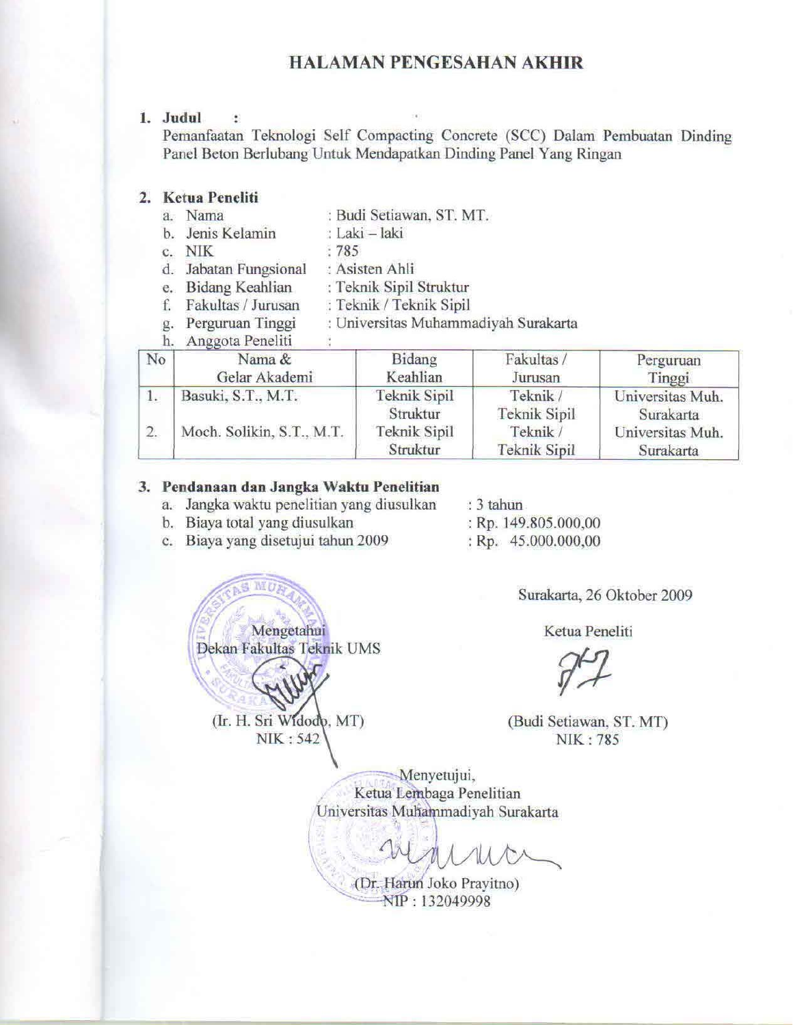### **HALAMAN PENGESAHAN AKHIR**

#### 1. Judul ÷

Pemanfaatan Teknologi Self Compacting Concrete (SCC) Dalam Pembuatan Dinding Panel Beton Berlubang Untuk Mendapatkan Dinding Panel Yang Ringan

#### 2. Ketua Peneliti

- a. Nama : Budi Setiawan, ST. MT.
- b. Jenis Kelamin : Laki - laki  $:785$
- c. NIK
- d. Jabatan Fungsional : Asisten Ahli
- e. Bidang Keahlian : Teknik Sipil Struktur
- f. Fakultas / Jurusan : Teknik / Teknik Sipil
- : Universitas Muhammadiyah Surakarta g. Perguruan Tinggi

#### h. Anggota Peneliti

| No               | Nama &<br>Gelar Akademi   | Bidang<br>Keahlian              | Fakultas /<br>Jurusan           | Perguruan<br>Tinggi           |
|------------------|---------------------------|---------------------------------|---------------------------------|-------------------------------|
| 1.               | Basuki, S.T., M.T.        | <b>Teknik Sipil</b><br>Struktur | Teknik /<br>Teknik Sipil        | Universitas Muh.<br>Surakarta |
| $\overline{2}$ . | Moch. Solikin, S.T., M.T. | Teknik Sipil<br>Struktur        | Teknik /<br><b>Teknik Sipil</b> | Universitas Muh.<br>Surakarta |

#### 3. Pendanaan dan Jangka Waktu Penelitian

- a. Jangka waktu penelitian yang diusulkan
- b. Biaya total yang diusulkan
- 
- c. Biaya yang disetujui tahun 2009

Mengetahui

Dekan Fakultas Teknik UMS

(Ir. H. Sri Widodo, MT)

NIK: 542

: Rp. 149.805.000,00

: 3 tahun

 $Rp. 45.000.000,000$ 

Surakarta, 26 Oktober 2009

Ketua Peneliti

(Budi Setiawan, ST. MT) NIK: 785

Menyetujui, Ketua Lembaga Penelitian Universitas Muhammadiyah Surakarta

(Dr. Harun Joko Pravitno) NIP: 132049998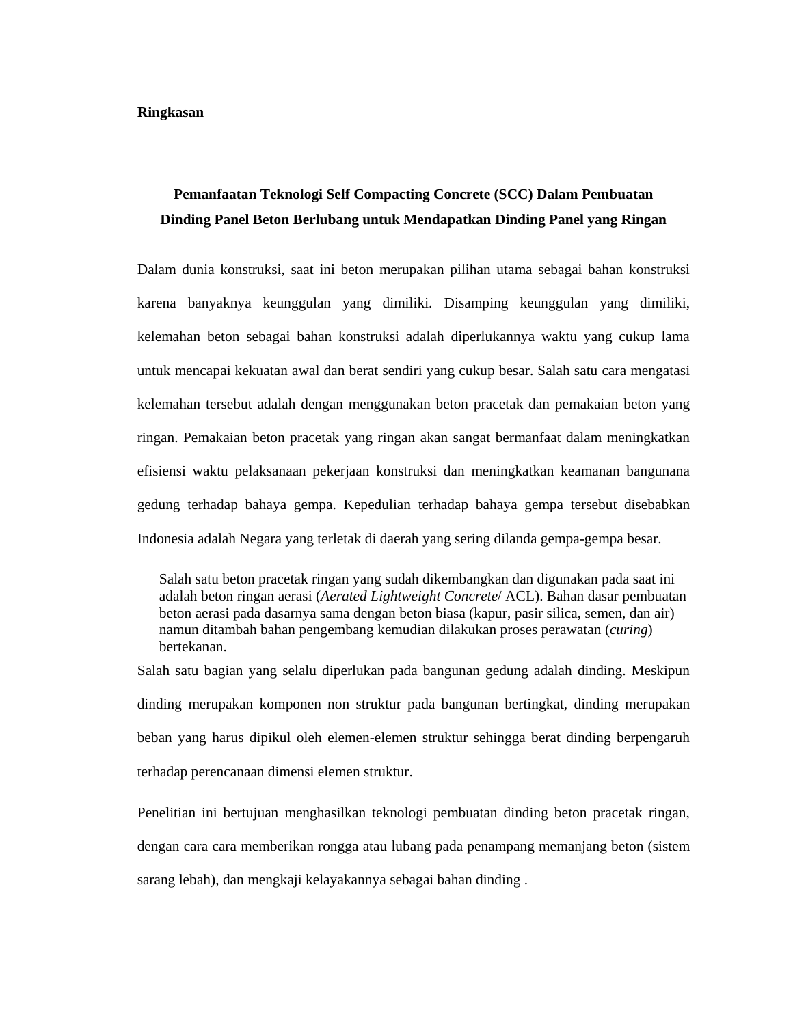#### **Ringkasan**

## **Pemanfaatan Teknologi Self Compacting Concrete (SCC) Dalam Pembuatan Dinding Panel Beton Berlubang untuk Mendapatkan Dinding Panel yang Ringan**

Dalam dunia konstruksi, saat ini beton merupakan pilihan utama sebagai bahan konstruksi karena banyaknya keunggulan yang dimiliki. Disamping keunggulan yang dimiliki, kelemahan beton sebagai bahan konstruksi adalah diperlukannya waktu yang cukup lama untuk mencapai kekuatan awal dan berat sendiri yang cukup besar. Salah satu cara mengatasi kelemahan tersebut adalah dengan menggunakan beton pracetak dan pemakaian beton yang ringan. Pemakaian beton pracetak yang ringan akan sangat bermanfaat dalam meningkatkan efisiensi waktu pelaksanaan pekerjaan konstruksi dan meningkatkan keamanan bangunana gedung terhadap bahaya gempa. Kepedulian terhadap bahaya gempa tersebut disebabkan Indonesia adalah Negara yang terletak di daerah yang sering dilanda gempa-gempa besar.

Salah satu beton pracetak ringan yang sudah dikembangkan dan digunakan pada saat ini adalah beton ringan aerasi (*Aerated Lightweight Concrete*/ ACL). Bahan dasar pembuatan beton aerasi pada dasarnya sama dengan beton biasa (kapur, pasir silica, semen, dan air) namun ditambah bahan pengembang kemudian dilakukan proses perawatan (*curing*) bertekanan.

Salah satu bagian yang selalu diperlukan pada bangunan gedung adalah dinding. Meskipun dinding merupakan komponen non struktur pada bangunan bertingkat, dinding merupakan beban yang harus dipikul oleh elemen-elemen struktur sehingga berat dinding berpengaruh terhadap perencanaan dimensi elemen struktur.

Penelitian ini bertujuan menghasilkan teknologi pembuatan dinding beton pracetak ringan, dengan cara cara memberikan rongga atau lubang pada penampang memanjang beton (sistem sarang lebah), dan mengkaji kelayakannya sebagai bahan dinding .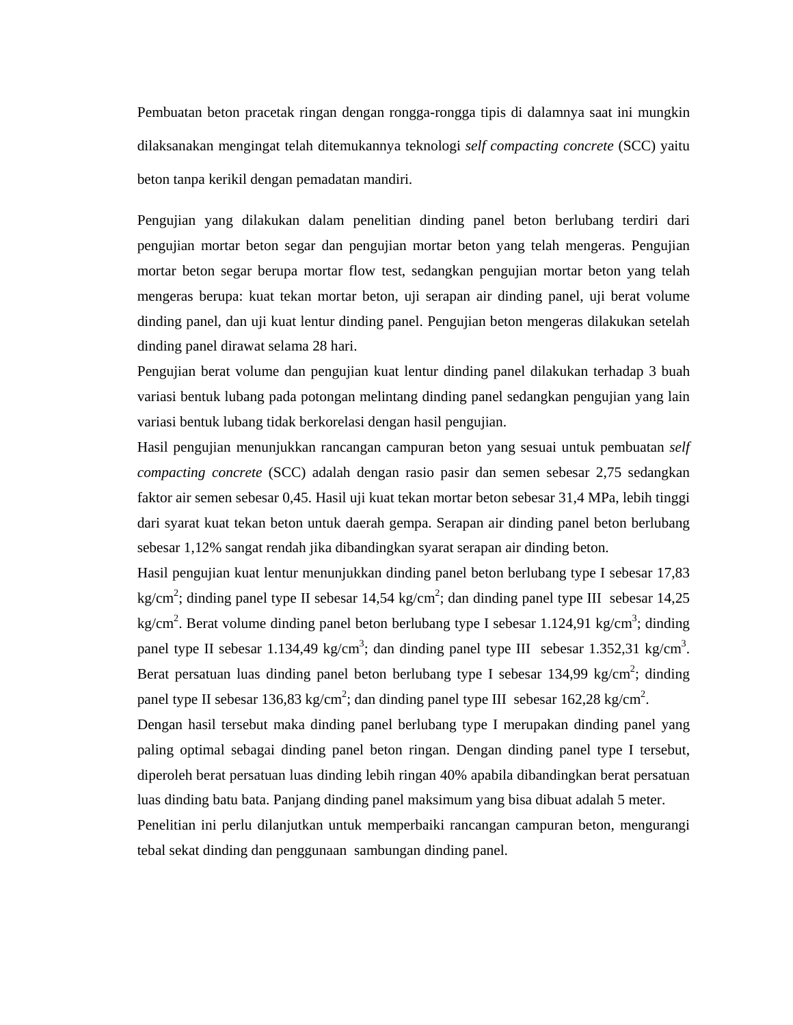Pembuatan beton pracetak ringan dengan rongga-rongga tipis di dalamnya saat ini mungkin dilaksanakan mengingat telah ditemukannya teknologi *self compacting concrete* (SCC) yaitu beton tanpa kerikil dengan pemadatan mandiri.

Pengujian yang dilakukan dalam penelitian dinding panel beton berlubang terdiri dari pengujian mortar beton segar dan pengujian mortar beton yang telah mengeras. Pengujian mortar beton segar berupa mortar flow test, sedangkan pengujian mortar beton yang telah mengeras berupa: kuat tekan mortar beton, uji serapan air dinding panel, uji berat volume dinding panel, dan uji kuat lentur dinding panel. Pengujian beton mengeras dilakukan setelah dinding panel dirawat selama 28 hari.

Pengujian berat volume dan pengujian kuat lentur dinding panel dilakukan terhadap 3 buah variasi bentuk lubang pada potongan melintang dinding panel sedangkan pengujian yang lain variasi bentuk lubang tidak berkorelasi dengan hasil pengujian.

Hasil pengujian menunjukkan rancangan campuran beton yang sesuai untuk pembuatan *self compacting concrete* (SCC) adalah dengan rasio pasir dan semen sebesar 2,75 sedangkan faktor air semen sebesar 0,45. Hasil uji kuat tekan mortar beton sebesar 31,4 MPa, lebih tinggi dari syarat kuat tekan beton untuk daerah gempa. Serapan air dinding panel beton berlubang sebesar 1,12% sangat rendah jika dibandingkan syarat serapan air dinding beton.

Hasil pengujian kuat lentur menunjukkan dinding panel beton berlubang type I sebesar 17,83 kg/cm<sup>2</sup>; dinding panel type II sebesar 14,54 kg/cm<sup>2</sup>; dan dinding panel type III sebesar 14,25 kg/cm<sup>2</sup>. Berat volume dinding panel beton berlubang type I sebesar 1.124,91 kg/cm<sup>3</sup>; dinding panel type II sebesar 1.134,49 kg/cm<sup>3</sup>; dan dinding panel type III sebesar 1.352,31 kg/cm<sup>3</sup>. Berat persatuan luas dinding panel beton berlubang type I sebesar 134,99 kg/cm<sup>2</sup>; dinding panel type II sebesar 136,83 kg/cm<sup>2</sup>; dan dinding panel type III sebesar 162,28 kg/cm<sup>2</sup>.

Dengan hasil tersebut maka dinding panel berlubang type I merupakan dinding panel yang paling optimal sebagai dinding panel beton ringan. Dengan dinding panel type I tersebut, diperoleh berat persatuan luas dinding lebih ringan 40% apabila dibandingkan berat persatuan luas dinding batu bata. Panjang dinding panel maksimum yang bisa dibuat adalah 5 meter.

Penelitian ini perlu dilanjutkan untuk memperbaiki rancangan campuran beton, mengurangi tebal sekat dinding dan penggunaan sambungan dinding panel.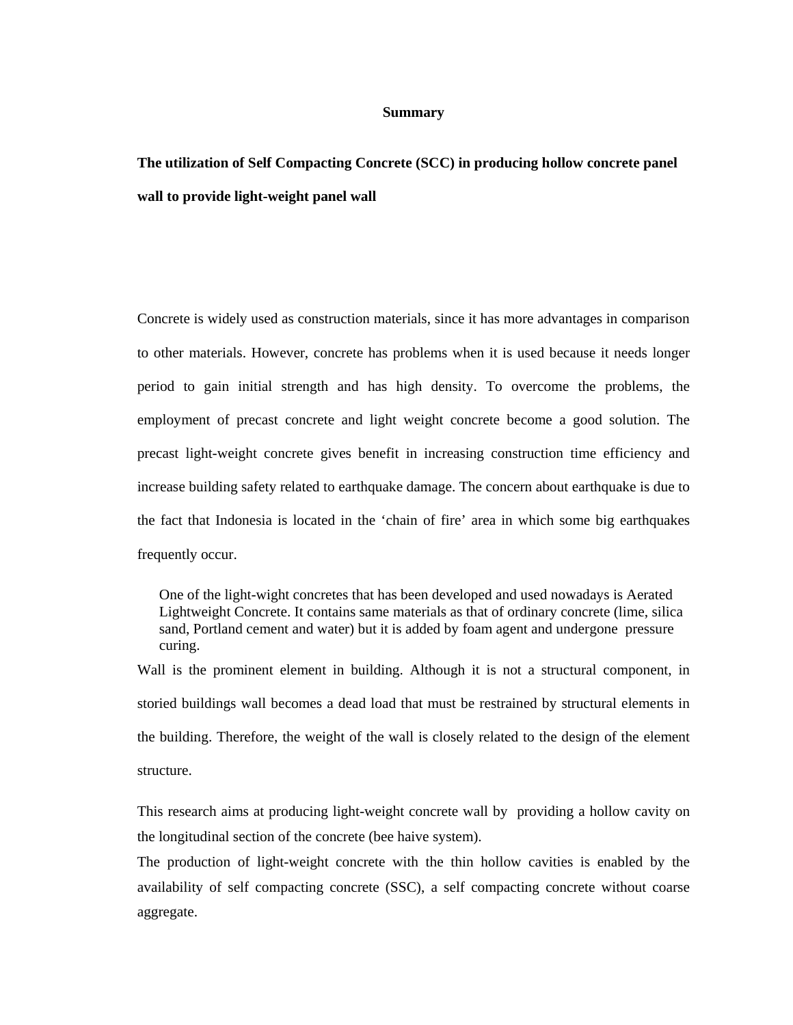#### **Summary**

**The utilization of Self Compacting Concrete (SCC) in producing hollow concrete panel wall to provide light-weight panel wall** 

Concrete is widely used as construction materials, since it has more advantages in comparison to other materials. However, concrete has problems when it is used because it needs longer period to gain initial strength and has high density. To overcome the problems, the employment of precast concrete and light weight concrete become a good solution. The precast light-weight concrete gives benefit in increasing construction time efficiency and increase building safety related to earthquake damage. The concern about earthquake is due to the fact that Indonesia is located in the 'chain of fire' area in which some big earthquakes frequently occur.

One of the light-wight concretes that has been developed and used nowadays is Aerated Lightweight Concrete. It contains same materials as that of ordinary concrete (lime, silica sand, Portland cement and water) but it is added by foam agent and undergone pressure curing.

Wall is the prominent element in building. Although it is not a structural component, in storied buildings wall becomes a dead load that must be restrained by structural elements in the building. Therefore, the weight of the wall is closely related to the design of the element structure.

This research aims at producing light-weight concrete wall by providing a hollow cavity on the longitudinal section of the concrete (bee haive system).

The production of light-weight concrete with the thin hollow cavities is enabled by the availability of self compacting concrete (SSC), a self compacting concrete without coarse aggregate.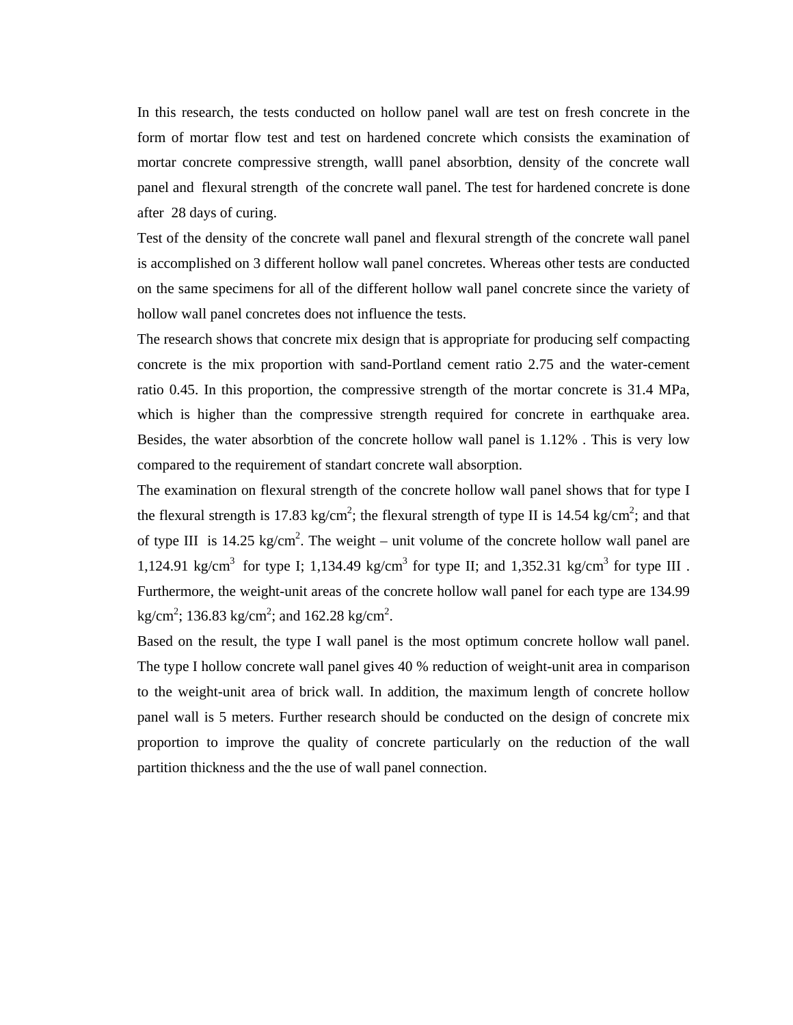In this research, the tests conducted on hollow panel wall are test on fresh concrete in the form of mortar flow test and test on hardened concrete which consists the examination of mortar concrete compressive strength, walll panel absorbtion, density of the concrete wall panel and flexural strength of the concrete wall panel. The test for hardened concrete is done after 28 days of curing.

Test of the density of the concrete wall panel and flexural strength of the concrete wall panel is accomplished on 3 different hollow wall panel concretes. Whereas other tests are conducted on the same specimens for all of the different hollow wall panel concrete since the variety of hollow wall panel concretes does not influence the tests.

The research shows that concrete mix design that is appropriate for producing self compacting concrete is the mix proportion with sand-Portland cement ratio 2.75 and the water-cement ratio 0.45. In this proportion, the compressive strength of the mortar concrete is 31.4 MPa, which is higher than the compressive strength required for concrete in earthquake area. Besides, the water absorbtion of the concrete hollow wall panel is 1.12% . This is very low compared to the requirement of standart concrete wall absorption.

The examination on flexural strength of the concrete hollow wall panel shows that for type I the flexural strength is 17.83 kg/cm<sup>2</sup>; the flexural strength of type II is 14.54 kg/cm<sup>2</sup>; and that of type III is 14.25 kg/cm<sup>2</sup>. The weight – unit volume of the concrete hollow wall panel are 1,124.91 kg/cm<sup>3</sup> for type I; 1,134.49 kg/cm<sup>3</sup> for type II; and 1,352.31 kg/cm<sup>3</sup> for type III. Furthermore, the weight-unit areas of the concrete hollow wall panel for each type are 134.99  $\text{kg/cm}^2$ ; 136.83 kg/cm<sup>2</sup>; and 162.28 kg/cm<sup>2</sup>.

Based on the result, the type I wall panel is the most optimum concrete hollow wall panel. The type I hollow concrete wall panel gives 40 % reduction of weight-unit area in comparison to the weight-unit area of brick wall. In addition, the maximum length of concrete hollow panel wall is 5 meters. Further research should be conducted on the design of concrete mix proportion to improve the quality of concrete particularly on the reduction of the wall partition thickness and the the use of wall panel connection.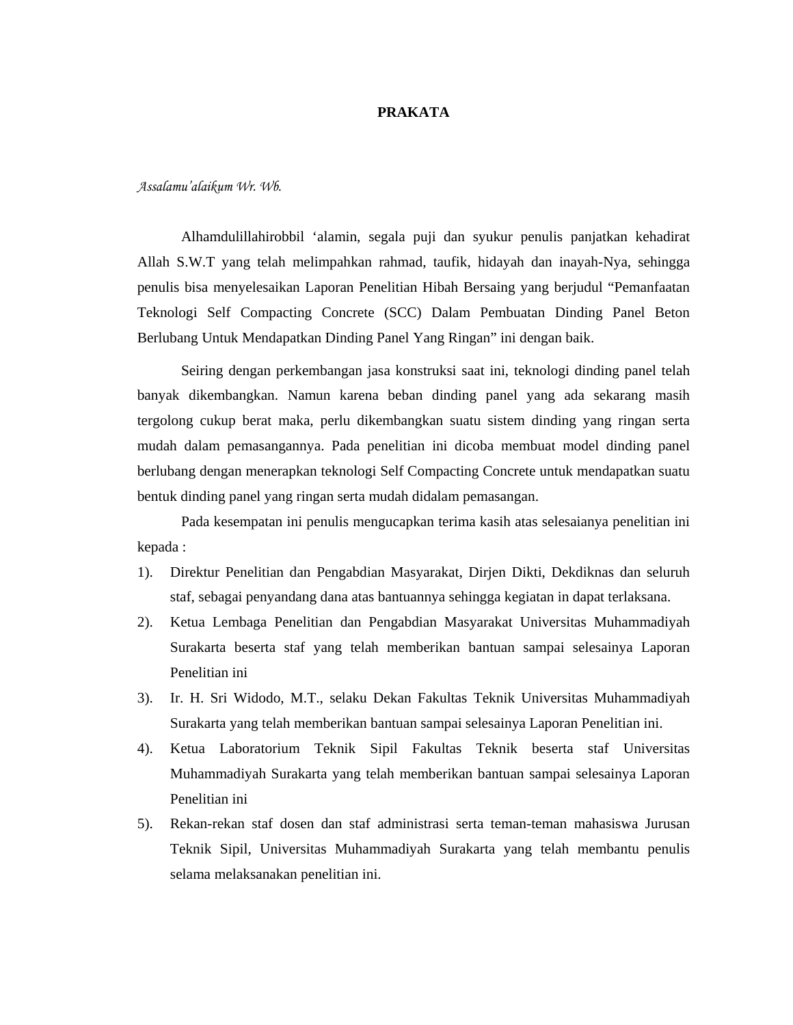#### **PRAKATA**

*Assalamu'alaikum Wr. Wb.* 

Alhamdulillahirobbil 'alamin, segala puji dan syukur penulis panjatkan kehadirat Allah S.W.T yang telah melimpahkan rahmad, taufik, hidayah dan inayah-Nya, sehingga penulis bisa menyelesaikan Laporan Penelitian Hibah Bersaing yang berjudul "Pemanfaatan Teknologi Self Compacting Concrete (SCC) Dalam Pembuatan Dinding Panel Beton Berlubang Untuk Mendapatkan Dinding Panel Yang Ringan" ini dengan baik.

Seiring dengan perkembangan jasa konstruksi saat ini, teknologi dinding panel telah banyak dikembangkan. Namun karena beban dinding panel yang ada sekarang masih tergolong cukup berat maka, perlu dikembangkan suatu sistem dinding yang ringan serta mudah dalam pemasangannya. Pada penelitian ini dicoba membuat model dinding panel berlubang dengan menerapkan teknologi Self Compacting Concrete untuk mendapatkan suatu bentuk dinding panel yang ringan serta mudah didalam pemasangan.

Pada kesempatan ini penulis mengucapkan terima kasih atas selesaianya penelitian ini kepada :

- 1). Direktur Penelitian dan Pengabdian Masyarakat, Dirjen Dikti, Dekdiknas dan seluruh staf, sebagai penyandang dana atas bantuannya sehingga kegiatan in dapat terlaksana.
- 2). Ketua Lembaga Penelitian dan Pengabdian Masyarakat Universitas Muhammadiyah Surakarta beserta staf yang telah memberikan bantuan sampai selesainya Laporan Penelitian ini
- 3). Ir. H. Sri Widodo, M.T., selaku Dekan Fakultas Teknik Universitas Muhammadiyah Surakarta yang telah memberikan bantuan sampai selesainya Laporan Penelitian ini.
- 4). Ketua Laboratorium Teknik Sipil Fakultas Teknik beserta staf Universitas Muhammadiyah Surakarta yang telah memberikan bantuan sampai selesainya Laporan Penelitian ini
- 5). Rekan-rekan staf dosen dan staf administrasi serta teman-teman mahasiswa Jurusan Teknik Sipil, Universitas Muhammadiyah Surakarta yang telah membantu penulis selama melaksanakan penelitian ini.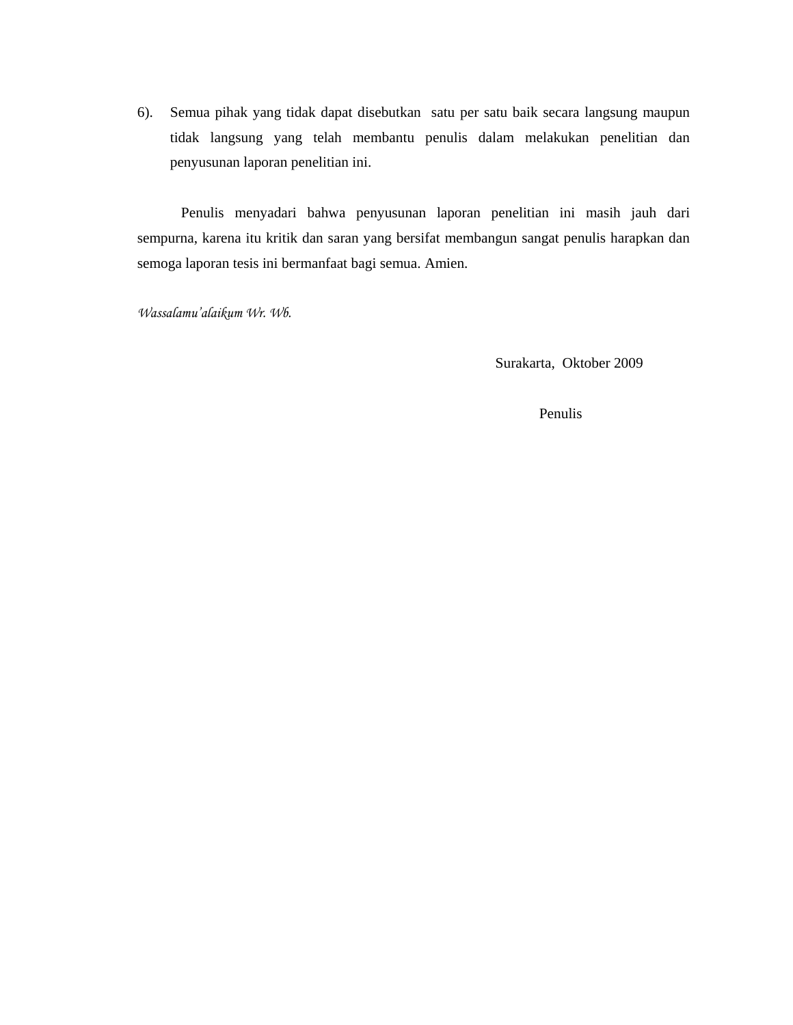6). Semua pihak yang tidak dapat disebutkan satu per satu baik secara langsung maupun tidak langsung yang telah membantu penulis dalam melakukan penelitian dan penyusunan laporan penelitian ini.

 Penulis menyadari bahwa penyusunan laporan penelitian ini masih jauh dari sempurna, karena itu kritik dan saran yang bersifat membangun sangat penulis harapkan dan semoga laporan tesis ini bermanfaat bagi semua. Amien.

*Wassalamu'alaikum Wr. Wb.* 

Surakarta, Oktober 2009

Penulis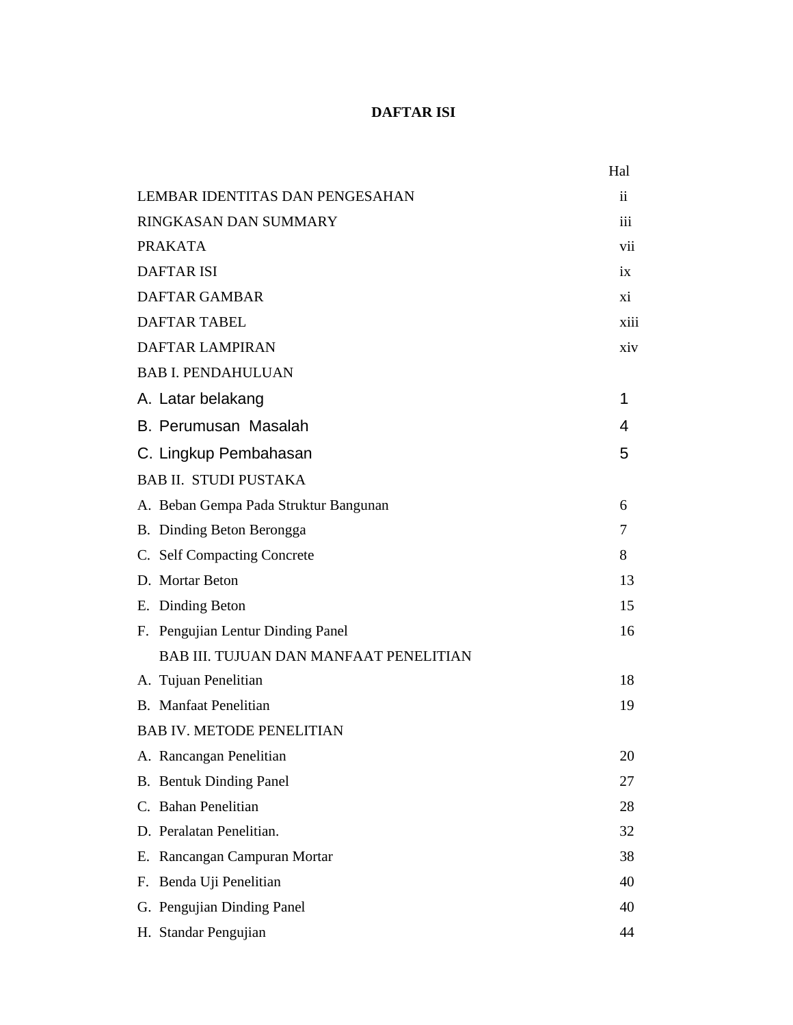### **DAFTAR ISI**

|                                               | Hal  |
|-----------------------------------------------|------|
| LEMBAR IDENTITAS DAN PENGESAHAN               | ii.  |
| RINGKASAN DAN SUMMARY                         | iii  |
| <b>PRAKATA</b>                                | vii  |
| <b>DAFTAR ISI</b>                             | ix   |
| <b>DAFTAR GAMBAR</b>                          | X1   |
| <b>DAFTAR TABEL</b>                           | xiii |
| <b>DAFTAR LAMPIRAN</b>                        | xiv  |
| <b>BAB I. PENDAHULUAN</b>                     |      |
| A. Latar belakang                             | 1    |
| B. Perumusan Masalah                          | 4    |
| C. Lingkup Pembahasan                         | 5    |
| <b>BAB II. STUDI PUSTAKA</b>                  |      |
| A. Beban Gempa Pada Struktur Bangunan         | 6    |
| B. Dinding Beton Berongga                     | 7    |
| C. Self Compacting Concrete                   | 8    |
| D. Mortar Beton                               | 13   |
| E. Dinding Beton                              | 15   |
| F. Pengujian Lentur Dinding Panel             | 16   |
| <b>BAB III. TUJUAN DAN MANFAAT PENELITIAN</b> |      |
| A. Tujuan Penelitian                          | 18   |
| <b>B.</b> Manfaat Penelitian                  | 19   |
| <b>BAB IV. METODE PENELITIAN</b>              |      |
| A. Rancangan Penelitian                       | 20   |
| <b>B.</b> Bentuk Dinding Panel                | 27   |
| C. Bahan Penelitian                           | 28   |
| D. Peralatan Penelitian.                      | 32   |
| E. Rancangan Campuran Mortar                  | 38   |
| F. Benda Uji Penelitian                       | 40   |
| G. Pengujian Dinding Panel                    | 40   |
| H. Standar Pengujian                          | 44   |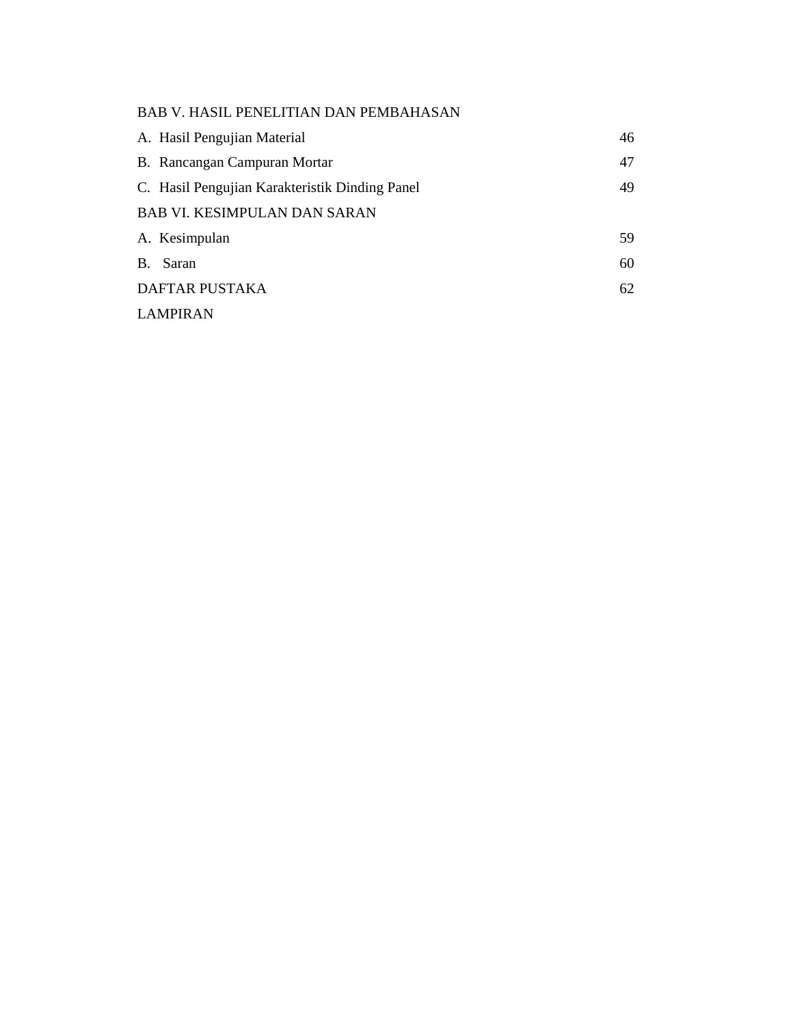### BAB V. HASIL PENELITIAN DAN PEMBAHASAN

| A. Hasil Pengujian Material                    | 46 |
|------------------------------------------------|----|
| B. Rancangan Campuran Mortar                   | 47 |
| C. Hasil Pengujian Karakteristik Dinding Panel | 49 |
| <b>BAB VI. KESIMPULAN DAN SARAN</b>            |    |
| A. Kesimpulan                                  | 59 |
| <b>B.</b><br>Saran                             | 60 |
| <b>DAFTAR PUSTAKA</b>                          | 62 |
| <b>LAMPIRAN</b>                                |    |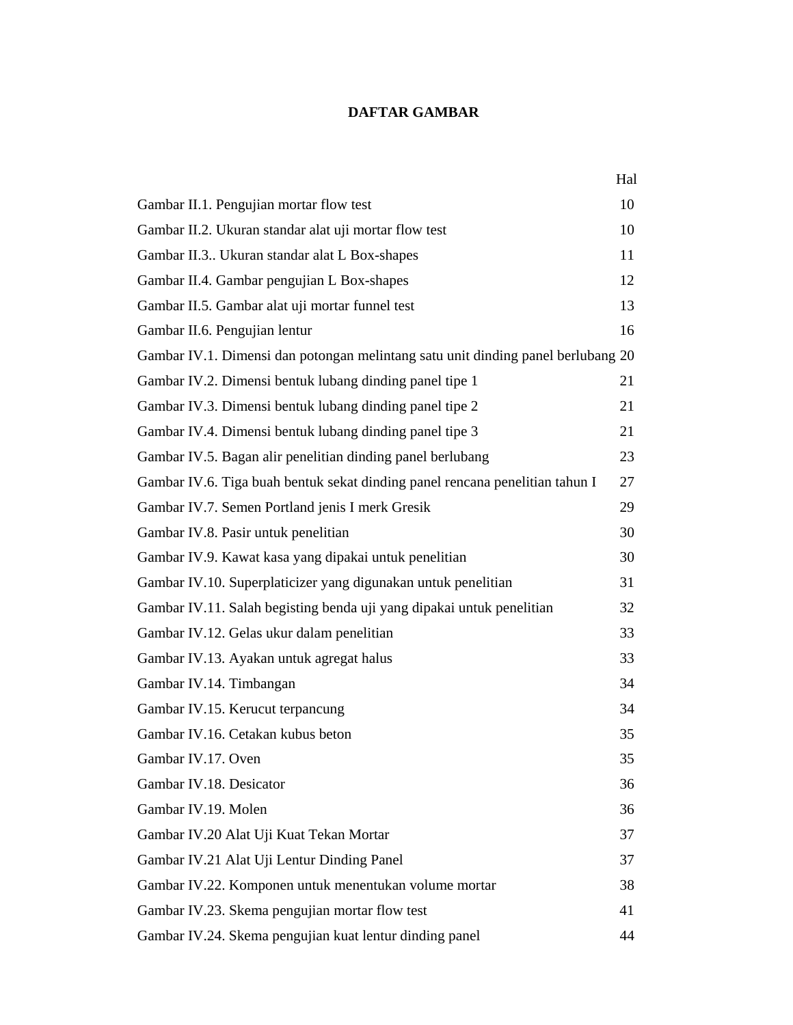#### **DAFTAR GAMBAR**

|                                                                                  | Hal |  |  |
|----------------------------------------------------------------------------------|-----|--|--|
| Gambar II.1. Pengujian mortar flow test                                          | 10  |  |  |
| Gambar II.2. Ukuran standar alat uji mortar flow test                            | 10  |  |  |
| Gambar II.3 Ukuran standar alat L Box-shapes                                     | 11  |  |  |
| Gambar II.4. Gambar pengujian L Box-shapes                                       | 12  |  |  |
| Gambar II.5. Gambar alat uji mortar funnel test                                  | 13  |  |  |
| Gambar II.6. Pengujian lentur                                                    | 16  |  |  |
| Gambar IV.1. Dimensi dan potongan melintang satu unit dinding panel berlubang 20 |     |  |  |
| Gambar IV.2. Dimensi bentuk lubang dinding panel tipe 1                          | 21  |  |  |
| Gambar IV.3. Dimensi bentuk lubang dinding panel tipe 2                          | 21  |  |  |
| Gambar IV.4. Dimensi bentuk lubang dinding panel tipe 3                          | 21  |  |  |
| Gambar IV.5. Bagan alir penelitian dinding panel berlubang                       | 23  |  |  |
| Gambar IV.6. Tiga buah bentuk sekat dinding panel rencana penelitian tahun I     | 27  |  |  |
| Gambar IV.7. Semen Portland jenis I merk Gresik                                  | 29  |  |  |
| Gambar IV.8. Pasir untuk penelitian                                              | 30  |  |  |
| Gambar IV.9. Kawat kasa yang dipakai untuk penelitian                            | 30  |  |  |
| Gambar IV.10. Superplaticizer yang digunakan untuk penelitian                    | 31  |  |  |
| Gambar IV.11. Salah begisting benda uji yang dipakai untuk penelitian            | 32  |  |  |
| Gambar IV.12. Gelas ukur dalam penelitian                                        | 33  |  |  |
| Gambar IV.13. Ayakan untuk agregat halus                                         | 33  |  |  |
| Gambar IV.14. Timbangan                                                          | 34  |  |  |
| Gambar IV.15. Kerucut terpancung                                                 | 34  |  |  |
| Gambar IV.16. Cetakan kubus beton                                                | 35  |  |  |
| Gambar IV.17. Oven                                                               | 35  |  |  |
| Gambar IV.18. Desicator                                                          | 36  |  |  |
| Gambar IV.19. Molen                                                              | 36  |  |  |
| Gambar IV.20 Alat Uji Kuat Tekan Mortar                                          | 37  |  |  |
| Gambar IV.21 Alat Uji Lentur Dinding Panel                                       | 37  |  |  |
| Gambar IV.22. Komponen untuk menentukan volume mortar                            | 38  |  |  |
| Gambar IV.23. Skema pengujian mortar flow test                                   | 41  |  |  |
| Gambar IV.24. Skema pengujian kuat lentur dinding panel                          | 44  |  |  |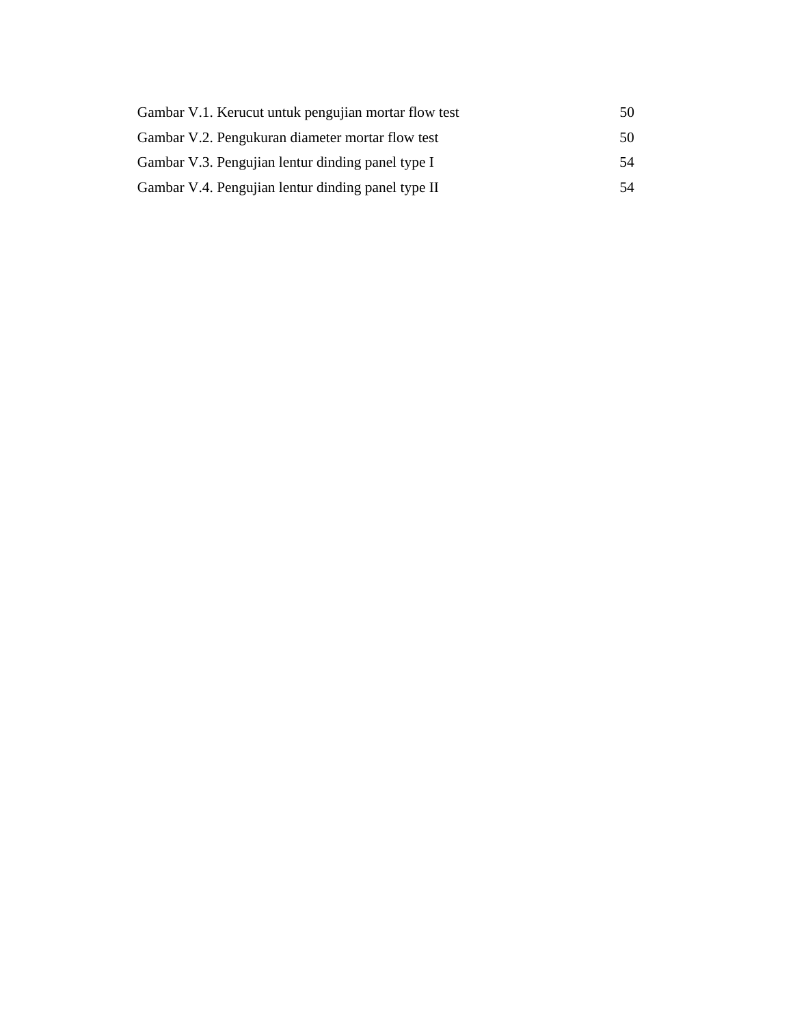| Gambar V.1. Kerucut untuk pengujian mortar flow test | 50 |
|------------------------------------------------------|----|
| Gambar V.2. Pengukuran diameter mortar flow test     | 50 |
| Gambar V.3. Pengujian lentur dinding panel type I    | 54 |
| Gambar V.4. Pengujian lentur dinding panel type II   | 54 |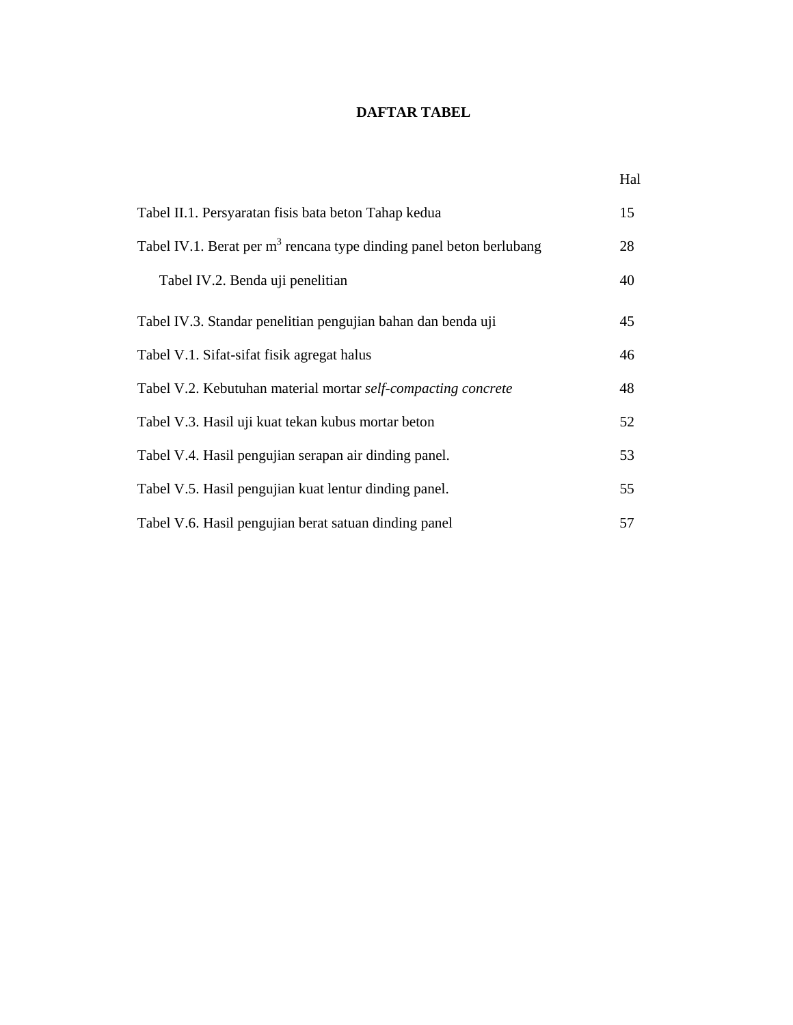#### **DAFTAR TABEL**

|                                                                       | Hal |
|-----------------------------------------------------------------------|-----|
| Tabel II.1. Persyaratan fisis bata beton Tahap kedua                  | 15  |
| Tabel IV.1. Berat per $m3$ rencana type dinding panel beton berlubang | 28  |
| Tabel IV.2. Benda uji penelitian                                      | 40  |
| Tabel IV.3. Standar penelitian pengujian bahan dan benda uji          | 45  |
| Tabel V.1. Sifat-sifat fisik agregat halus                            | 46  |
| Tabel V.2. Kebutuhan material mortar self-compacting concrete         | 48  |
| Tabel V.3. Hasil uji kuat tekan kubus mortar beton                    | 52  |
| Tabel V.4. Hasil pengujian serapan air dinding panel.                 | 53  |
| Tabel V.5. Hasil pengujian kuat lentur dinding panel.                 | 55  |
| Tabel V.6. Hasil pengujian berat satuan dinding panel                 | 57  |